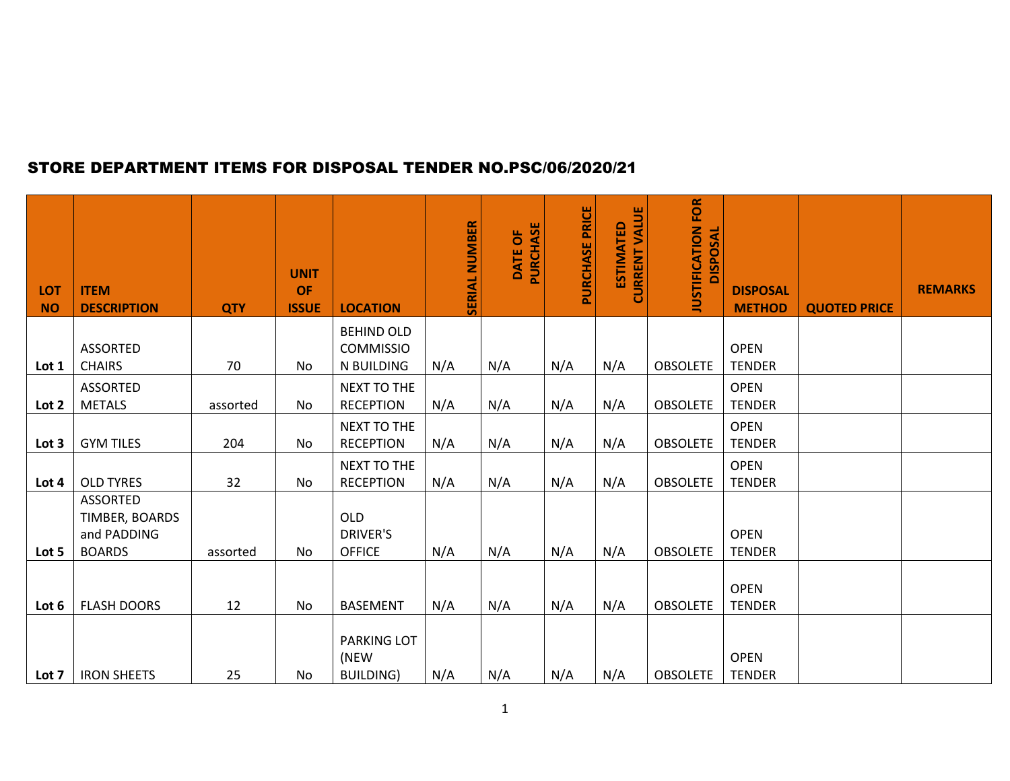## STORE DEPARTMENT ITEMS FOR DISPOSAL TENDER NO.PSC/06/2020/21

| <b>LOT</b><br><b>NO</b> | <b>ITEM</b><br><b>DESCRIPTION</b>                                 | <b>QTY</b> | <b>UNIT</b><br><b>OF</b><br><b>ISSUE</b> | <b>LOCATION</b>                                | <b>SERIAL NUMBER</b> | DATE OF<br>PURCHASE | PURCHASE PRICE | <b>CURRENT VALUE</b><br><b>ESTIMATED</b> | <b>JUSTIFICATION FOR</b><br><b>DISPOSAL</b> | <b>DISPOSAL</b><br><b>METHOD</b> | <b>QUOTED PRICE</b> | <b>REMARKS</b> |
|-------------------------|-------------------------------------------------------------------|------------|------------------------------------------|------------------------------------------------|----------------------|---------------------|----------------|------------------------------------------|---------------------------------------------|----------------------------------|---------------------|----------------|
|                         | <b>ASSORTED</b>                                                   |            |                                          | <b>BEHIND OLD</b><br><b>COMMISSIO</b>          |                      |                     |                |                                          |                                             | <b>OPEN</b>                      |                     |                |
| Lot 1                   | <b>CHAIRS</b>                                                     | 70         | No                                       | N BUILDING                                     | N/A                  | N/A                 | N/A            | N/A                                      | <b>OBSOLETE</b>                             | <b>TENDER</b>                    |                     |                |
| Lot 2                   | <b>ASSORTED</b><br><b>METALS</b>                                  | assorted   | No                                       | NEXT TO THE<br><b>RECEPTION</b>                | N/A                  | N/A                 | N/A            | N/A                                      | <b>OBSOLETE</b>                             | <b>OPEN</b><br><b>TENDER</b>     |                     |                |
| Lot 3                   | <b>GYM TILES</b>                                                  | 204        | No                                       | NEXT TO THE<br><b>RECEPTION</b>                | N/A                  | N/A                 | N/A            | N/A                                      | <b>OBSOLETE</b>                             | <b>OPEN</b><br><b>TENDER</b>     |                     |                |
| Lot 4                   | <b>OLD TYRES</b>                                                  | 32         | No                                       | NEXT TO THE<br><b>RECEPTION</b>                | N/A                  | N/A                 | N/A            | N/A                                      | <b>OBSOLETE</b>                             | <b>OPEN</b><br><b>TENDER</b>     |                     |                |
| Lot 5                   | <b>ASSORTED</b><br>TIMBER, BOARDS<br>and PADDING<br><b>BOARDS</b> | assorted   | No                                       | <b>OLD</b><br><b>DRIVER'S</b><br><b>OFFICE</b> | N/A                  | N/A                 | N/A            | N/A                                      | <b>OBSOLETE</b>                             | <b>OPEN</b><br><b>TENDER</b>     |                     |                |
| Lot 6                   | <b>FLASH DOORS</b>                                                | 12         | No                                       | <b>BASEMENT</b>                                | N/A                  | N/A                 | N/A            | N/A                                      | <b>OBSOLETE</b>                             | <b>OPEN</b><br><b>TENDER</b>     |                     |                |
| Lot 7                   | <b>IRON SHEETS</b>                                                | 25         | No                                       | PARKING LOT<br>(NEW<br><b>BUILDING)</b>        | N/A                  | N/A                 | N/A            | N/A                                      | <b>OBSOLETE</b>                             | <b>OPEN</b><br><b>TENDER</b>     |                     |                |